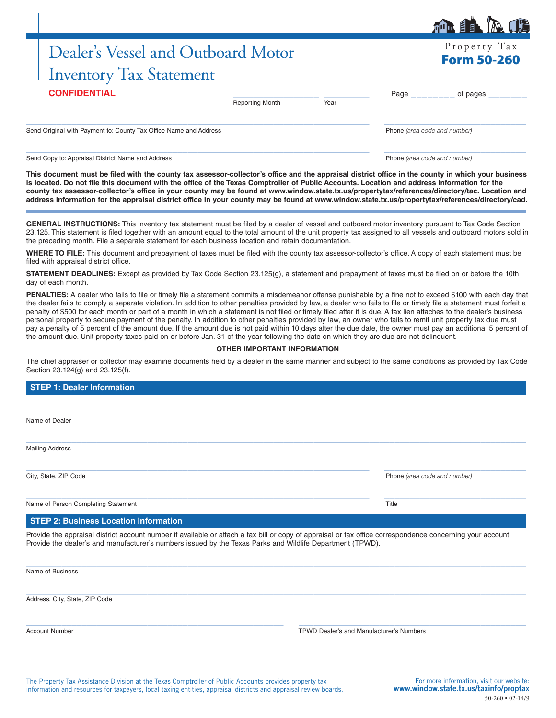# Dealer's Vessel and Outboard Motor Inventory Tax Statement

| <b>CONFIDENTIAL</b>                                               |                        |      |                              | of pages |  |
|-------------------------------------------------------------------|------------------------|------|------------------------------|----------|--|
|                                                                   | <b>Reporting Month</b> | Year |                              |          |  |
|                                                                   |                        |      |                              |          |  |
| Send Original with Payment to: County Tax Office Name and Address |                        |      | Phone (area code and number) |          |  |
|                                                                   |                        |      |                              |          |  |
|                                                                   |                        |      |                              |          |  |

Send Copy to: Appraisal District Name and Address **Phone** *(area code and number)* Phone *(area code and number)* 

**This document must be filed with the county tax assessor-collector's office and the appraisal district office in the county in which your business is located. Do not file this document with the office of the Texas Comptroller of Public Accounts. Location and address information for the county tax assessor-collector's office in your county may be found at www.window.state.tx.us/propertytax/references/directory/tac. Location and address information for the appraisal district office in your county may be found at www.window.state.tx.us/propertytax/references/directory/cad.**

**GENERAL INSTRUCTIONS:** This inventory tax statement must be filed by a dealer of vessel and outboard motor inventory pursuant to Tax Code Section 23.125. This statement is filed together with an amount equal to the total amount of the unit property tax assigned to all vessels and outboard motors sold in the preceding month. File a separate statement for each business location and retain documentation.

**WHERE TO FILE:** This document and prepayment of taxes must be filed with the county tax assessor-collector's office. A copy of each statement must be filed with appraisal district office.

**STATEMENT DEADLINES:** Except as provided by Tax Code Section 23.125(g), a statement and prepayment of taxes must be filed on or before the 10th day of each month.

PENALTIES: A dealer who fails to file or timely file a statement commits a misdemeanor offense punishable by a fine not to exceed \$100 with each day that the dealer fails to comply a separate violation. In addition to other penalties provided by law, a dealer who fails to file or timely file a statement must forfeit a penalty of \$500 for each month or part of a month in which a statement is not filed or timely filed after it is due. A tax lien attaches to the dealer's business personal property to secure payment of the penalty. In addition to other penalties provided by law, an owner who fails to remit unit property tax due must pay a penalty of 5 percent of the amount due. If the amount due is not paid within 10 days after the due date, the owner must pay an additional 5 percent of the amount due. Unit property taxes paid on or before Jan. 31 of the year following the date on which they are due are not delinquent.

### **OTHER IMPORTANT INFORMATION**

The chief appraiser or collector may examine documents held by a dealer in the same manner and subject to the same conditions as provided by Tax Code Section 23.124(g) and 23.125(f).

| <b>STEP 1: Dealer Information</b>            |                              |
|----------------------------------------------|------------------------------|
|                                              |                              |
| Name of Dealer                               |                              |
| <b>Mailing Address</b>                       |                              |
| City, State, ZIP Code                        | Phone (area code and number) |
| Name of Person Completing Statement          | Title                        |
| <b>STEP 2: Business Location Information</b> |                              |

Provide the appraisal district account number if available or attach a tax bill or copy of appraisal or tax office correspondence concerning your account. Provide the dealer's and manufacturer's numbers issued by the Texas Parks and Wildlife Department (TPWD).

 $\_$  , and the set of the set of the set of the set of the set of the set of the set of the set of the set of the set of the set of the set of the set of the set of the set of the set of the set of the set of the set of th

 $\_$  , and the set of the set of the set of the set of the set of the set of the set of the set of the set of the set of the set of the set of the set of the set of the set of the set of the set of the set of the set of th

 $\_$  ,  $\_$  ,  $\_$  ,  $\_$  ,  $\_$  ,  $\_$  ,  $\_$  ,  $\_$  ,  $\_$  ,  $\_$  ,  $\_$  ,  $\_$  ,  $\_$  ,  $\_$  ,  $\_$  ,  $\_$  ,  $\_$  ,  $\_$  ,  $\_$  ,  $\_$  ,  $\_$  ,  $\_$  ,  $\_$  ,  $\_$  ,  $\_$  ,  $\_$  ,  $\_$  ,  $\_$  ,  $\_$  ,  $\_$  ,  $\_$  ,  $\_$  ,  $\_$  ,  $\_$  ,  $\_$  ,  $\_$  ,  $\_$  ,

Name of Business

Address, City, State, ZIP Code

Account Number TPWD Dealer's and Manufacturer's Numbers

The Property Tax Assistance Division at the Texas Comptroller of Public Accounts provides property tax information and resources for taxpayers, local taxing entities, appraisal districts and appraisal review boards.



Property Tax Form 50-260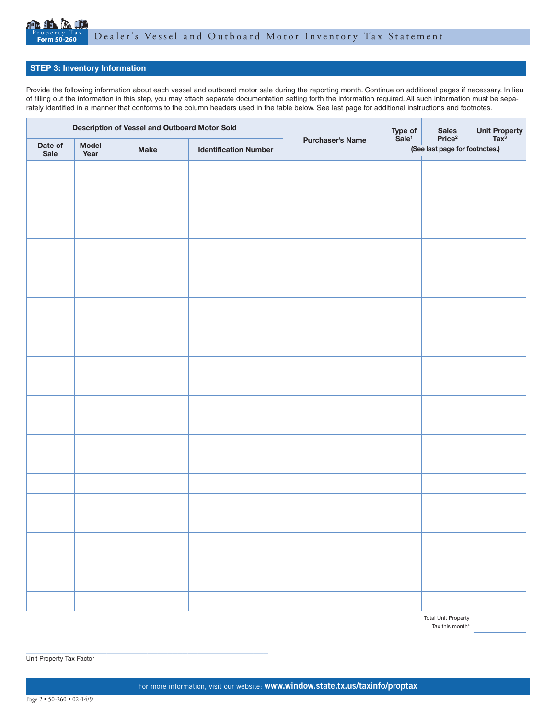

## **STEP 3: Inventory Information**

Provide the following information about each vessel and outboard motor sale during the reporting month. Continue on additional pages if necessary. In lieu of filling out the information in this step, you may attach separate documentation setting forth the information required. All such information must be separately identified in a manner that conforms to the column headers used in the table below. See last page for additional instructions and footnotes.

| Description of Vessel and Outboard Motor Sold |               |             | Type of<br>Sale <sup>1</sup> | <b>Sales</b>            | Unit Property<br>Tax <sup>3</sup>                    |  |  |
|-----------------------------------------------|---------------|-------------|------------------------------|-------------------------|------------------------------------------------------|--|--|
| Date of<br>Sale                               | Model<br>Year | <b>Make</b> | <b>Identification Number</b> | <b>Purchaser's Name</b> | Price <sup>2</sup><br>(See last page for footnotes.) |  |  |
|                                               |               |             |                              |                         |                                                      |  |  |
|                                               |               |             |                              |                         |                                                      |  |  |
|                                               |               |             |                              |                         |                                                      |  |  |
|                                               |               |             |                              |                         |                                                      |  |  |
|                                               |               |             |                              |                         |                                                      |  |  |
|                                               |               |             |                              |                         |                                                      |  |  |
|                                               |               |             |                              |                         |                                                      |  |  |
|                                               |               |             |                              |                         |                                                      |  |  |
|                                               |               |             |                              |                         |                                                      |  |  |
|                                               |               |             |                              |                         |                                                      |  |  |
|                                               |               |             |                              |                         |                                                      |  |  |
|                                               |               |             |                              |                         |                                                      |  |  |
|                                               |               |             |                              |                         |                                                      |  |  |
|                                               |               |             |                              |                         |                                                      |  |  |
|                                               |               |             |                              |                         |                                                      |  |  |
|                                               |               |             |                              |                         |                                                      |  |  |
|                                               |               |             |                              |                         |                                                      |  |  |
|                                               |               |             |                              |                         |                                                      |  |  |
|                                               |               |             |                              |                         |                                                      |  |  |
|                                               |               |             |                              |                         |                                                      |  |  |
|                                               |               |             |                              |                         |                                                      |  |  |
|                                               |               |             |                              |                         |                                                      |  |  |
|                                               |               |             |                              |                         |                                                      |  |  |
|                                               |               |             |                              |                         |                                                      |  |  |

Total Unit Property Tax this month<sup>4</sup>

Unit Property Tax Factor

\_\_\_\_\_\_\_\_\_\_\_\_\_\_\_\_\_\_\_\_\_\_\_\_\_\_\_\_\_\_\_\_\_\_\_\_\_\_\_\_\_\_\_\_\_\_\_\_